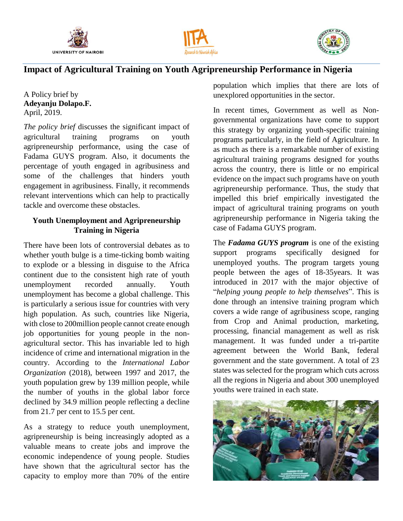





# **Impact of Agricultural Training on Youth Agripreneurship Performance in Nigeria**

A Policy brief by **Adeyanju Dolapo.F.** April, 2019.

*The policy brief* discusses the significant impact of agricultural training programs on youth agripreneurship performance, using the case of Fadama GUYS program. Also, it documents the percentage of youth engaged in agribusiness and some of the challenges that hinders youth engagement in agribusiness. Finally, it recommends relevant interventions which can help to practically tackle and overcome these obstacles.

## **Youth Unemployment and Agripreneurship Training in Nigeria**

There have been lots of controversial debates as to whether youth bulge is a time-ticking bomb waiting to explode or a blessing in disguise to the Africa continent due to the consistent high rate of youth unemployment recorded annually. Youth unemployment has become a global challenge. This is particularly a serious issue for countries with very high population. As such, countries like Nigeria, with close to 200million people cannot create enough job opportunities for young people in the nonagricultural sector. This has invariable led to high incidence of crime and international migration in the country. According to the *International Labor Organization* (2018), between 1997 and 2017, the youth population grew by 139 million people, while the number of youths in the global labor force declined by 34.9 million people reflecting a decline from 21.7 per cent to 15.5 per cent.

As a strategy to reduce youth unemployment, agripreneurship is being increasingly adopted as a valuable means to create jobs and improve the economic independence of young people. Studies have shown that the agricultural sector has the capacity to employ more than 70% of the entire

population which implies that there are lots of unexplored opportunities in the sector.

In recent times, Government as well as Nongovernmental organizations have come to support this strategy by organizing youth-specific training programs particularly, in the field of Agriculture. In as much as there is a remarkable number of existing agricultural training programs designed for youths across the country, there is little or no empirical evidence on the impact such programs have on youth agripreneurship performance. Thus, the study that impelled this brief empirically investigated the impact of agricultural training programs on youth agripreneurship performance in Nigeria taking the case of Fadama GUYS program.

The *Fadama GUYS program* is one of the existing support programs specifically designed for unemployed youths. The program targets young people between the ages of 18-35years. It was introduced in 2017 with the major objective of "*helping young people to help themselves*". This is done through an intensive training program which covers a wide range of agribusiness scope, ranging from Crop and Animal production, marketing, processing, financial management as well as risk management. It was funded under a tri-partite agreement between the World Bank, federal government and the state government. A total of 23 states was selected for the program which cuts across all the regions in Nigeria and about 300 unemployed youths were trained in each state.

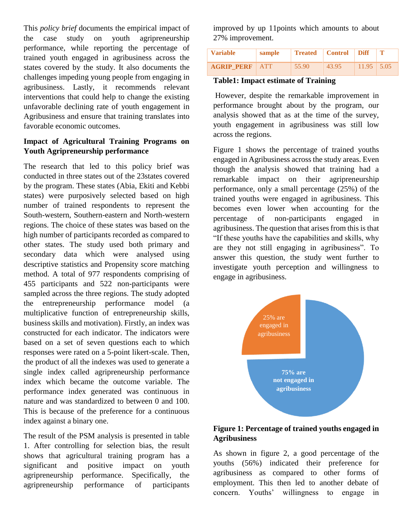This *policy brief* documents the empirical impact of the case study on youth agripreneurship performance, while reporting the percentage of trained youth engaged in agribusiness across the states covered by the study. It also documents the challenges impeding young people from engaging in agribusiness. Lastly, it recommends relevant interventions that could help to change the existing unfavorable declining rate of youth engagement in Agribusiness and ensure that training translates into favorable economic outcomes.

## **Impact of Agricultural Training Programs on Youth Agripreneurship performance**

The research that led to this policy brief was conducted in three states out of the 23states covered by the program. These states (Abia, Ekiti and Kebbi states) were purposively selected based on high number of trained respondents to represent the South-western, Southern-eastern and North-western regions. The choice of these states was based on the high number of participants recorded as compared to other states. The study used both primary and secondary data which were analysed using descriptive statistics and Propensity score matching method. A total of 977 respondents comprising of 455 participants and 522 non-participants were sampled across the three regions. The study adopted the entrepreneurship performance model (a multiplicative function of entrepreneurship skills, business skills and motivation). Firstly, an index was constructed for each indicator. The indicators were based on a set of seven questions each to which responses were rated on a 5-point likert-scale. Then, the product of all the indexes was used to generate a single index called agripreneurship performance index which became the outcome variable. The performance index generated was continuous in nature and was standardized to between 0 and 100. This is because of the preference for a continuous index against a binary one.

The result of the PSM analysis is presented in table 1. After controlling for selection bias, the result shows that agricultural training program has a significant and positive impact on youth agripreneurship performance. Specifically, the agripreneurship performance of participants

improved by up 11points which amounts to about 27% improvement.

| <b>Variable</b>   | sample     |       | <b>Treated</b>   Control | <b>Diff</b>  | $\mathbf{T}$ |
|-------------------|------------|-------|--------------------------|--------------|--------------|
| <b>AGRIP PERF</b> | <b>ATT</b> | 55.90 | 43.95                    | $11.95$ 5.05 |              |

#### **Table1: Impact estimate of Training**

However, despite the remarkable improvement in performance brought about by the program, our analysis showed that as at the time of the survey, youth engagement in agribusiness was still low across the regions.

Figure 1 shows the percentage of trained youths engaged in Agribusiness across the study areas. Even though the analysis showed that training had a remarkable impact on their agripreneurship performance, only a small percentage (25%) of the trained youths were engaged in agribusiness. This becomes even lower when accounting for the percentage of non-participants engaged in agribusiness. The question that arises from this is that "If these youths have the capabilities and skills, why are they not still engaging in agribusiness". To answer this question, the study went further to investigate youth perception and willingness to engage in agribusiness.



## **Figure 1: Percentage of trained youths engaged in Agribusiness**

As shown in figure 2, a good percentage of the youths (56%) indicated their preference for agribusiness as compared to other forms of employment. This then led to another debate of concern. Youths' willingness to engage in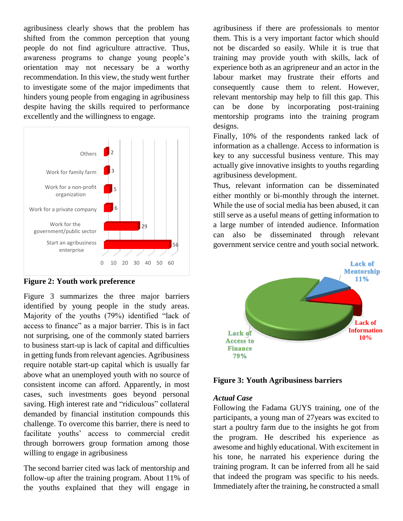agribusiness clearly shows that the problem has shifted from the common perception that young people do not find agriculture attractive. Thus, awareness programs to change young people's orientation may not necessary be a worthy recommendation. In this view, the study went further to investigate some of the major impediments that hinders young people from engaging in agribusiness despite having the skills required to performance excellently and the willingness to engage.



**Figure 2: Youth work preference**

Figure 3 summarizes the three major barriers identified by young people in the study areas. Majority of the youths (79%) identified "lack of access to finance" as a major barrier. This is in fact not surprising, one of the commonly stated barriers to business start-up is lack of capital and difficulties in getting funds from relevant agencies. Agribusiness require notable start-up capital which is usually far above what an unemployed youth with no source of consistent income can afford. Apparently, in most cases, such investments goes beyond personal saving. High interest rate and "ridiculous" collateral demanded by financial institution compounds this challenge. To overcome this barrier, there is need to facilitate youths' access to commercial credit through borrowers group formation among those willing to engage in agribusiness

The second barrier cited was lack of mentorship and follow-up after the training program. About 11% of the youths explained that they will engage in agribusiness if there are professionals to mentor them. This is a very important factor which should not be discarded so easily. While it is true that training may provide youth with skills, lack of experience both as an agripreneur and an actor in the labour market may frustrate their efforts and consequently cause them to relent. However, relevant mentorship may help to fill this gap. This can be done by incorporating post-training mentorship programs into the training program designs.

Finally, 10% of the respondents ranked lack of information as a challenge. Access to information is key to any successful business venture. This may actually give innovative insights to youths regarding agribusiness development.

Thus, relevant information can be disseminated either monthly or bi-monthly through the internet. While the use of social media has been abused, it can still serve as a useful means of getting information to a large number of intended audience. Information can also be disseminated through relevant government service centre and youth social network.



**Figure 3: Youth Agribusiness barriers**

#### *Actual Case*

Following the Fadama GUYS training, one of the participants, a young man of 27years was excited to start a poultry farm due to the insights he got from the program. He described his experience as awesome and highly educational. With excitement in his tone, he narrated his experience during the training program. It can be inferred from all he said that indeed the program was specific to his needs. Immediately after the training, he constructed a small